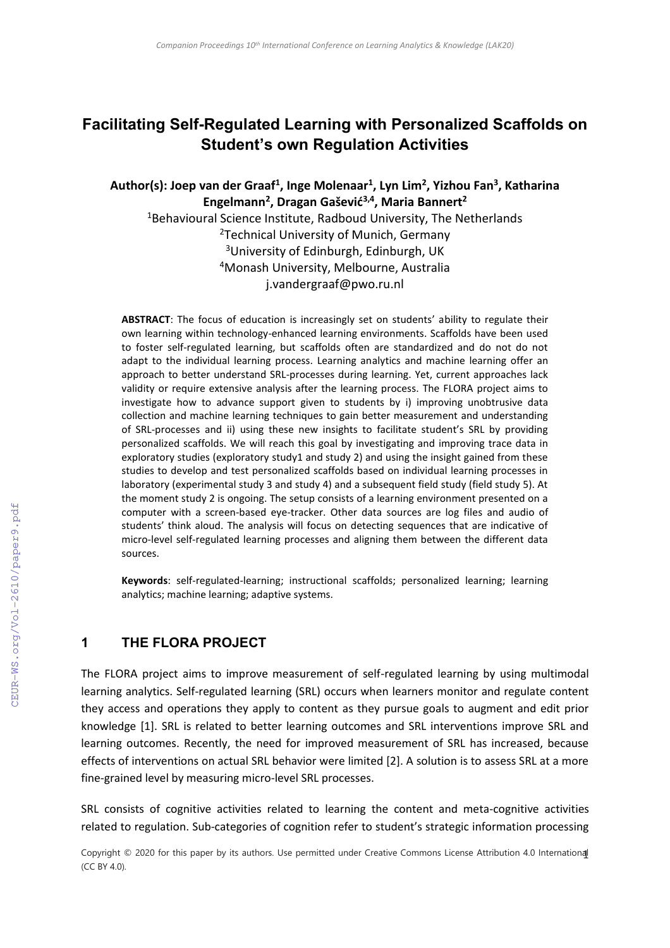# **Facilitating Self-Regulated Learning with Personalized Scaffolds on Student's own Regulation Activities**

#### **Author(s): Joep van der Graaf<sup>1</sup> , Inge Molenaar<sup>1</sup> , Lyn Lim<sup>2</sup> , Yizhou Fan<sup>3</sup> , Katharina Engelmann<sup>2</sup> , Dragan Gašević3,4, Maria Bannert<sup>2</sup>**

<sup>1</sup>Behavioural Science Institute, Radboud University, The Netherlands <sup>2</sup>Technical University of Munich, Germany <sup>3</sup>University of Edinburgh, Edinburgh, UK <sup>4</sup>Monash University, Melbourne, Australia j.vandergraaf@pwo.ru.nl

**ABSTRACT**: The focus of education is increasingly set on students' ability to regulate their own learning within technology-enhanced learning environments. Scaffolds have been used to foster self-regulated learning, but scaffolds often are standardized and do not do not adapt to the individual learning process. Learning analytics and machine learning offer an approach to better understand SRL-processes during learning. Yet, current approaches lack validity or require extensive analysis after the learning process. The FLORA project aims to investigate how to advance support given to students by i) improving unobtrusive data collection and machine learning techniques to gain better measurement and understanding of SRL-processes and ii) using these new insights to facilitate student's SRL by providing personalized scaffolds. We will reach this goal by investigating and improving trace data in exploratory studies (exploratory study1 and study 2) and using the insight gained from these studies to develop and test personalized scaffolds based on individual learning processes in laboratory (experimental study 3 and study 4) and a subsequent field study (field study 5). At the moment study 2 is ongoing. The setup consists of a learning environment presented on a computer with a screen-based eye-tracker. Other data sources are log files and audio of students' think aloud. The analysis will focus on detecting sequences that are indicative of micro-level self-regulated learning processes and aligning them between the different data sources.

**Keywords**: self-regulated-learning; instructional scaffolds; personalized learning; learning analytics; machine learning; adaptive systems.

#### **1 THE FLORA PROJECT**

The FLORA project aims to improve measurement of self-regulated learning by using multimodal learning analytics. Self-regulated learning (SRL) occurs when learners monitor and regulate content they access and operations they apply to content as they pursue goals to augment and edit prior knowledge [1]. SRL is related to better learning outcomes and SRL interventions improve SRL and learning outcomes. Recently, the need for improved measurement of SRL has increased, because effects of interventions on actual SRL behavior were limited [2]. A solution is to assess SRL at a more fine-grained level by measuring micro-level SRL processes.

SRL consists of cognitive activities related to learning the content and meta-cognitive activities related to regulation. Sub-categories of cognition refer to student's strategic information processing

Copyright © 2020 for this paper by its authors. Use permitted under Creative Commons License Attribution 4.0 International (CC BY 4.0).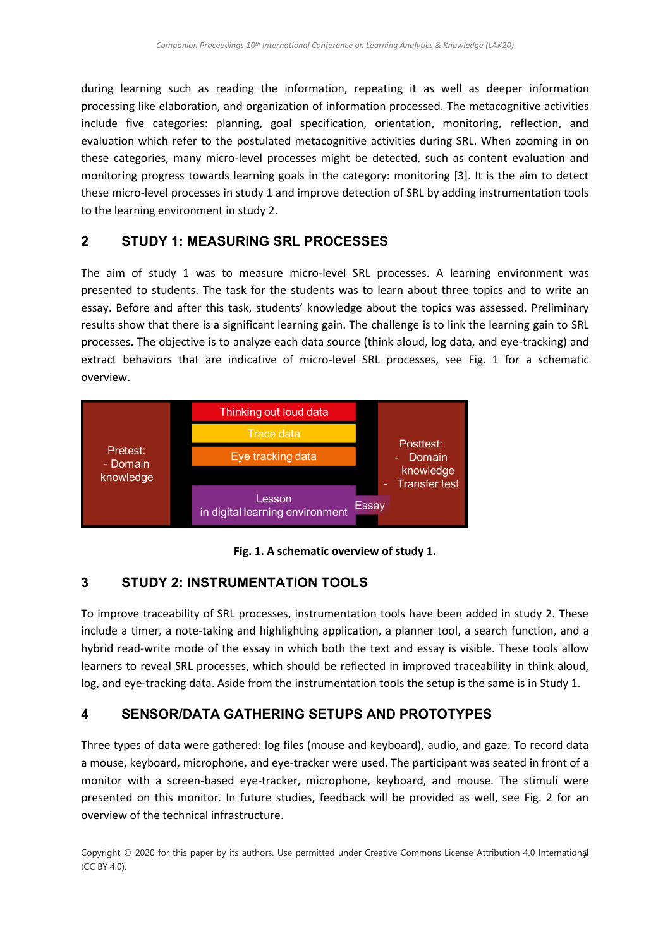during learning such as reading the information, repeating it as well as deeper information processing like elaboration, and organization of information processed. The metacognitive activities include five categories: planning, goal specification, orientation, monitoring, reflection, and evaluation which refer to the postulated metacognitive activities during SRL. When zooming in on these categories, many micro-level processes might be detected, such as content evaluation and monitoring progress towards learning goals in the category: monitoring [3]. It is the aim to detect these micro-level processes in study 1 and improve detection of SRL by adding instrumentation tools to the learning environment in study 2.

## **2 STUDY 1: MEASURING SRL PROCESSES**

The aim of study 1 was to measure micro-level SRL processes. A learning environment was presented to students. The task for the students was to learn about three topics and to write an essay. Before and after this task, students' knowledge about the topics was assessed. Preliminary results show that there is a significant learning gain. The challenge is to link the learning gain to SRL processes. The objective is to analyze each data source (think aloud, log data, and eye-tracking) and extract behaviors that are indicative of micro-level SRL processes, see Fig. 1 for a schematic overview.



**Fig. 1. A schematic overview of study 1.**

## **3 STUDY 2: INSTRUMENTATION TOOLS**

To improve traceability of SRL processes, instrumentation tools have been added in study 2. These include a timer, a note-taking and highlighting application, a planner tool, a search function, and a hybrid read-write mode of the essay in which both the text and essay is visible. These tools allow learners to reveal SRL processes, which should be reflected in improved traceability in think aloud, log, and eye-tracking data. Aside from the instrumentation tools the setup is the same is in Study 1.

## **4 SENSOR/DATA GATHERING SETUPS AND PROTOTYPES**

Three types of data were gathered: log files (mouse and keyboard), audio, and gaze. To record data a mouse, keyboard, microphone, and eye-tracker were used. The participant was seated in front of a monitor with a screen-based eye-tracker, microphone, keyboard, and mouse. The stimuli were presented on this monitor. In future studies, feedback will be provided as well, see Fig. 2 for an overview of the technical infrastructure.

Copyright © 2020 for this paper by its authors. Use permitted under Creative Commons License Attribution 4.0 Internation**al** (CC BY 4.0).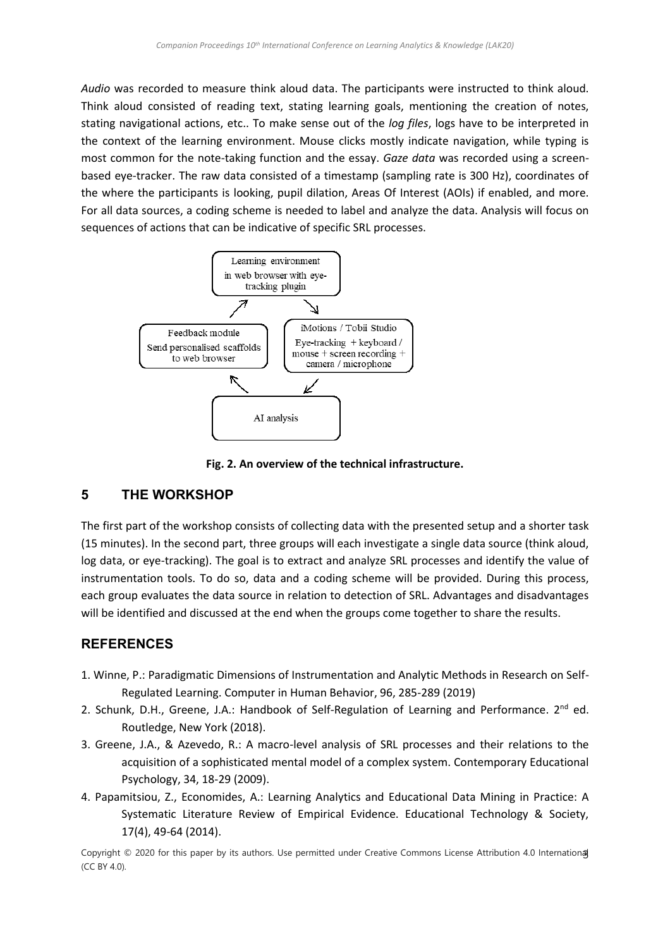*Audio* was recorded to measure think aloud data. The participants were instructed to think aloud. Think aloud consisted of reading text, stating learning goals, mentioning the creation of notes, stating navigational actions, etc.. To make sense out of the *log files*, logs have to be interpreted in the context of the learning environment. Mouse clicks mostly indicate navigation, while typing is most common for the note-taking function and the essay. *Gaze data* was recorded using a screenbased eye-tracker. The raw data consisted of a timestamp (sampling rate is 300 Hz), coordinates of the where the participants is looking, pupil dilation, Areas Of Interest (AOIs) if enabled, and more. For all data sources, a coding scheme is needed to label and analyze the data. Analysis will focus on sequences of actions that can be indicative of specific SRL processes.



**Fig. 2. An overview of the technical infrastructure.**

#### **5 THE WORKSHOP**

The first part of the workshop consists of collecting data with the presented setup and a shorter task (15 minutes). In the second part, three groups will each investigate a single data source (think aloud, log data, or eye-tracking). The goal is to extract and analyze SRL processes and identify the value of instrumentation tools. To do so, data and a coding scheme will be provided. During this process, each group evaluates the data source in relation to detection of SRL. Advantages and disadvantages will be identified and discussed at the end when the groups come together to share the results.

## **REFERENCES**

- 1. Winne, P.: Paradigmatic Dimensions of Instrumentation and Analytic Methods in Research on Self-Regulated Learning. Computer in Human Behavior, 96, 285-289 (2019)
- 2. Schunk, D.H., Greene, J.A.: Handbook of Self-Regulation of Learning and Performance.  $2^{nd}$  ed. Routledge, New York (2018).
- 3. Greene, J.A., & Azevedo, R.: A macro-level analysis of SRL processes and their relations to the acquisition of a sophisticated mental model of a complex system. Contemporary Educational Psychology, 34, 18-29 (2009).
- 4. Papamitsiou, Z., Economides, A.: Learning Analytics and Educational Data Mining in Practice: A Systematic Literature Review of Empirical Evidence. Educational Technology & Society, 17(4), 49-64 (2014).

Copyright © 2020 for this paper by its authors. Use permitted under Creative Commons License Attribution 4.0 Internation**a**J (CC BY 4.0).